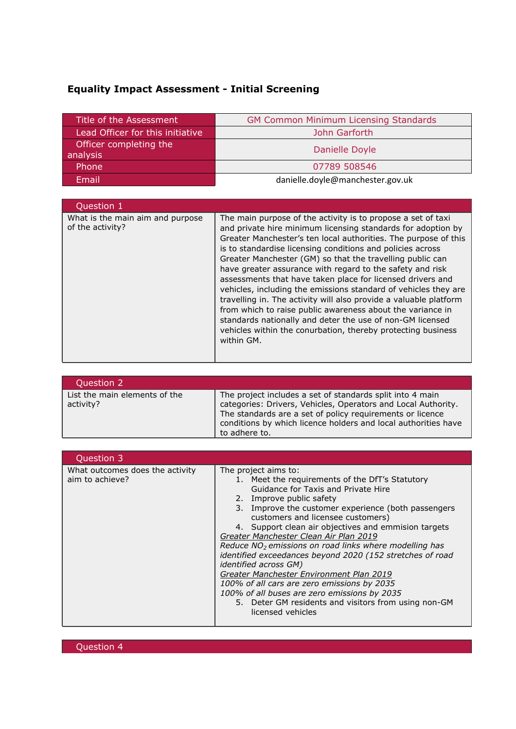## **Equality Impact Assessment - Initial Screening**

| Title of the Assessment          | <b>GM Common Minimum Licensing Standards</b> |  |  |  |
|----------------------------------|----------------------------------------------|--|--|--|
| Lead Officer for this initiative | John Garforth                                |  |  |  |
| Officer completing the           | Danielle Doyle                               |  |  |  |
| analysis                         |                                              |  |  |  |
| Phone                            | 07789 508546                                 |  |  |  |
| Email                            | danielle.doyle@manchester.gov.uk             |  |  |  |

| Question 1                                           |                                                                                                                                                                                                                                                                                                                                                                                                                                                                                                                                                                                                                                                                                                                                                                                                        |
|------------------------------------------------------|--------------------------------------------------------------------------------------------------------------------------------------------------------------------------------------------------------------------------------------------------------------------------------------------------------------------------------------------------------------------------------------------------------------------------------------------------------------------------------------------------------------------------------------------------------------------------------------------------------------------------------------------------------------------------------------------------------------------------------------------------------------------------------------------------------|
| What is the main aim and purpose<br>of the activity? | The main purpose of the activity is to propose a set of taxi<br>and private hire minimum licensing standards for adoption by<br>Greater Manchester's ten local authorities. The purpose of this<br>is to standardise licensing conditions and policies across<br>Greater Manchester (GM) so that the travelling public can<br>have greater assurance with regard to the safety and risk<br>assessments that have taken place for licensed drivers and<br>vehicles, including the emissions standard of vehicles they are<br>travelling in. The activity will also provide a valuable platform<br>from which to raise public awareness about the variance in<br>standards nationally and deter the use of non-GM licensed<br>vehicles within the conurbation, thereby protecting business<br>within GM. |

| Question 2                                 |                                                                                                                                                                                                                                                                            |
|--------------------------------------------|----------------------------------------------------------------------------------------------------------------------------------------------------------------------------------------------------------------------------------------------------------------------------|
| List the main elements of the<br>activity? | The project includes a set of standards split into 4 main<br>categories: Drivers, Vehicles, Operators and Local Authority.<br>The standards are a set of policy requirements or licence<br>conditions by which licence holders and local authorities have<br>to adhere to. |

| Question 3                                         |                                                                                                                                                                                                                                                                                                                                                                                                                                                                                                                                                                                                                                                                                                                           |
|----------------------------------------------------|---------------------------------------------------------------------------------------------------------------------------------------------------------------------------------------------------------------------------------------------------------------------------------------------------------------------------------------------------------------------------------------------------------------------------------------------------------------------------------------------------------------------------------------------------------------------------------------------------------------------------------------------------------------------------------------------------------------------------|
| What outcomes does the activity<br>aim to achieve? | The project aims to:<br>1. Meet the requirements of the DfT's Statutory<br>Guidance for Taxis and Private Hire<br>2. Improve public safety<br>3. Improve the customer experience (both passengers<br>customers and licensee customers)<br>4. Support clean air objectives and emmision targets<br>Greater Manchester Clean Air Plan 2019<br>Reduce $NO2$ emissions on road links where modelling has<br>identified exceedances beyond 2020 (152 stretches of road<br><i>identified across GM)</i><br>Greater Manchester Environment Plan 2019<br>100% of all cars are zero emissions by 2035<br>100% of all buses are zero emissions by 2035<br>5. Deter GM residents and visitors from using non-GM<br>licensed vehicles |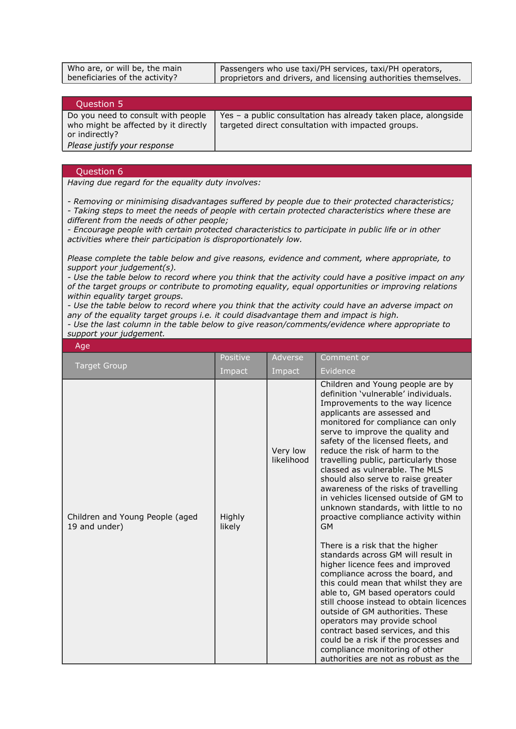| Who are, or will be, the main  | Passengers who use taxi/PH services, taxi/PH operators,        |
|--------------------------------|----------------------------------------------------------------|
| beneficiaries of the activity? | proprietors and drivers, and licensing authorities themselves. |

| Question 5                                                                                   |                                                                                                                      |
|----------------------------------------------------------------------------------------------|----------------------------------------------------------------------------------------------------------------------|
| Do you need to consult with people<br>who might be affected by it directly<br>or indirectly? | Yes - a public consultation has already taken place, alongside<br>targeted direct consultation with impacted groups. |
| Please justify your response                                                                 |                                                                                                                      |

## Question 6

*Having due regard for the equality duty involves:*

*- Removing or minimising disadvantages suffered by people due to their protected characteristics;*

*- Taking steps to meet the needs of people with certain protected characteristics where these are different from the needs of other people;*

*- Encourage people with certain protected characteristics to participate in public life or in other activities where their participation is disproportionately low.*

*Please complete the table below and give reasons, evidence and comment, where appropriate, to support your judgement(s).*

- Use the table below to record where you think that the activity could have a positive impact on any *of the target groups or contribute to promoting equality, equal opportunities or improving relations within equality target groups.*

- Use the table below to record where you think that the activity could have an adverse impact on *any of the equality target groups i.e. it could disadvantage them and impact is high.*

*- Use the last column in the table below to give reason/comments/evidence where appropriate to support your judgement.*

| Age                                              |                  |                        |                                                                                                                                                                                                                                                                                                                                                                                                                                                                                                                                                                                                                                                                                                                                                                                                                                                                                                                                                                                                                                                                                                |  |
|--------------------------------------------------|------------------|------------------------|------------------------------------------------------------------------------------------------------------------------------------------------------------------------------------------------------------------------------------------------------------------------------------------------------------------------------------------------------------------------------------------------------------------------------------------------------------------------------------------------------------------------------------------------------------------------------------------------------------------------------------------------------------------------------------------------------------------------------------------------------------------------------------------------------------------------------------------------------------------------------------------------------------------------------------------------------------------------------------------------------------------------------------------------------------------------------------------------|--|
|                                                  | Positive         | Adverse                | Comment or                                                                                                                                                                                                                                                                                                                                                                                                                                                                                                                                                                                                                                                                                                                                                                                                                                                                                                                                                                                                                                                                                     |  |
| <b>Target Group</b>                              | Impact           | Impact                 | Evidence                                                                                                                                                                                                                                                                                                                                                                                                                                                                                                                                                                                                                                                                                                                                                                                                                                                                                                                                                                                                                                                                                       |  |
| Children and Young People (aged<br>19 and under) | Highly<br>likely | Very low<br>likelihood | Children and Young people are by<br>definition 'vulnerable' individuals.<br>Improvements to the way licence<br>applicants are assessed and<br>monitored for compliance can only<br>serve to improve the quality and<br>safety of the licensed fleets, and<br>reduce the risk of harm to the<br>travelling public, particularly those<br>classed as vulnerable. The MLS<br>should also serve to raise greater<br>awareness of the risks of travelling<br>in vehicles licensed outside of GM to<br>unknown standards, with little to no<br>proactive compliance activity within<br><b>GM</b><br>There is a risk that the higher<br>standards across GM will result in<br>higher licence fees and improved<br>compliance across the board, and<br>this could mean that whilst they are<br>able to, GM based operators could<br>still choose instead to obtain licences<br>outside of GM authorities. These<br>operators may provide school<br>contract based services, and this<br>could be a risk if the processes and<br>compliance monitoring of other<br>authorities are not as robust as the |  |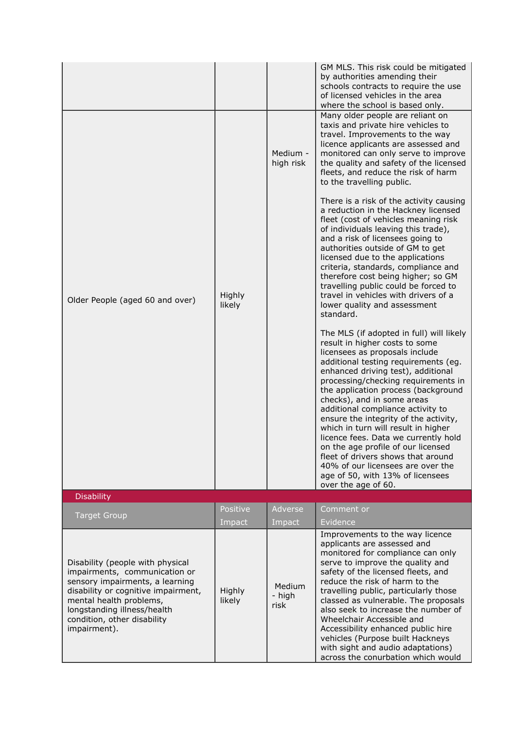| Older People (aged 60 and over)                                                                                                                                                                                                                      | Highly<br>likely | Medium -<br>high risk    | GM MLS. This risk could be mitigated<br>by authorities amending their<br>schools contracts to require the use<br>of licensed vehicles in the area<br>where the school is based only.<br>Many older people are reliant on<br>taxis and private hire vehicles to<br>travel. Improvements to the way<br>licence applicants are assessed and<br>monitored can only serve to improve<br>the quality and safety of the licensed<br>fleets, and reduce the risk of harm<br>to the travelling public.<br>There is a risk of the activity causing<br>a reduction in the Hackney licensed<br>fleet (cost of vehicles meaning risk<br>of individuals leaving this trade),<br>and a risk of licensees going to<br>authorities outside of GM to get<br>licensed due to the applications<br>criteria, standards, compliance and<br>therefore cost being higher; so GM<br>travelling public could be forced to<br>travel in vehicles with drivers of a<br>lower quality and assessment<br>standard.<br>The MLS (if adopted in full) will likely<br>result in higher costs to some<br>licensees as proposals include<br>additional testing requirements (eg.<br>enhanced driving test), additional<br>processing/checking requirements in<br>the application process (background<br>checks), and in some areas<br>additional compliance activity to<br>ensure the integrity of the activity,<br>which in turn will result in higher<br>licence fees. Data we currently hold<br>on the age profile of our licensed<br>fleet of drivers shows that around<br>40% of our licensees are over the |
|------------------------------------------------------------------------------------------------------------------------------------------------------------------------------------------------------------------------------------------------------|------------------|--------------------------|------------------------------------------------------------------------------------------------------------------------------------------------------------------------------------------------------------------------------------------------------------------------------------------------------------------------------------------------------------------------------------------------------------------------------------------------------------------------------------------------------------------------------------------------------------------------------------------------------------------------------------------------------------------------------------------------------------------------------------------------------------------------------------------------------------------------------------------------------------------------------------------------------------------------------------------------------------------------------------------------------------------------------------------------------------------------------------------------------------------------------------------------------------------------------------------------------------------------------------------------------------------------------------------------------------------------------------------------------------------------------------------------------------------------------------------------------------------------------------------------------------------------------------------------------------------------------|
|                                                                                                                                                                                                                                                      |                  |                          | age of 50, with 13% of licensees<br>over the age of 60.                                                                                                                                                                                                                                                                                                                                                                                                                                                                                                                                                                                                                                                                                                                                                                                                                                                                                                                                                                                                                                                                                                                                                                                                                                                                                                                                                                                                                                                                                                                      |
| <b>Disability</b>                                                                                                                                                                                                                                    |                  |                          |                                                                                                                                                                                                                                                                                                                                                                                                                                                                                                                                                                                                                                                                                                                                                                                                                                                                                                                                                                                                                                                                                                                                                                                                                                                                                                                                                                                                                                                                                                                                                                              |
| <b>Target Group</b>                                                                                                                                                                                                                                  | Positive         | Adverse                  | Comment or                                                                                                                                                                                                                                                                                                                                                                                                                                                                                                                                                                                                                                                                                                                                                                                                                                                                                                                                                                                                                                                                                                                                                                                                                                                                                                                                                                                                                                                                                                                                                                   |
|                                                                                                                                                                                                                                                      | Impact           | Impact                   | Evidence                                                                                                                                                                                                                                                                                                                                                                                                                                                                                                                                                                                                                                                                                                                                                                                                                                                                                                                                                                                                                                                                                                                                                                                                                                                                                                                                                                                                                                                                                                                                                                     |
| Disability (people with physical<br>impairments, communication or<br>sensory impairments, a learning<br>disability or cognitive impairment,<br>mental health problems,<br>longstanding illness/health<br>condition, other disability<br>impairment). | Highly<br>likely | Medium<br>- high<br>risk | Improvements to the way licence<br>applicants are assessed and<br>monitored for compliance can only<br>serve to improve the quality and<br>safety of the licensed fleets, and<br>reduce the risk of harm to the<br>travelling public, particularly those<br>classed as vulnerable. The proposals<br>also seek to increase the number of<br>Wheelchair Accessible and<br>Accessibility enhanced public hire<br>vehicles (Purpose built Hackneys<br>with sight and audio adaptations)<br>across the conurbation which would                                                                                                                                                                                                                                                                                                                                                                                                                                                                                                                                                                                                                                                                                                                                                                                                                                                                                                                                                                                                                                                    |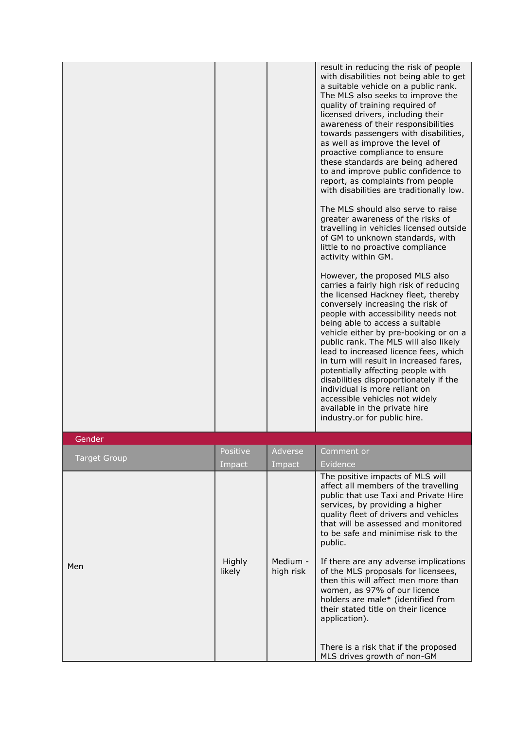|                     |          |         | result in reducing the risk of people<br>with disabilities not being able to get<br>a suitable vehicle on a public rank.<br>The MLS also seeks to improve the<br>quality of training required of<br>licensed drivers, including their<br>awareness of their responsibilities<br>towards passengers with disabilities,<br>as well as improve the level of<br>proactive compliance to ensure<br>these standards are being adhered<br>to and improve public confidence to<br>report, as complaints from people<br>with disabilities are traditionally low.<br>The MLS should also serve to raise<br>greater awareness of the risks of<br>travelling in vehicles licensed outside<br>of GM to unknown standards, with<br>little to no proactive compliance<br>activity within GM.<br>However, the proposed MLS also<br>carries a fairly high risk of reducing<br>the licensed Hackney fleet, thereby<br>conversely increasing the risk of<br>people with accessibility needs not<br>being able to access a suitable<br>vehicle either by pre-booking or on a<br>public rank. The MLS will also likely<br>lead to increased licence fees, which<br>in turn will result in increased fares,<br>potentially affecting people with<br>disabilities disproportionately if the<br>individual is more reliant on<br>accessible vehicles not widely<br>available in the private hire<br>industry.or for public hire. |
|---------------------|----------|---------|----------------------------------------------------------------------------------------------------------------------------------------------------------------------------------------------------------------------------------------------------------------------------------------------------------------------------------------------------------------------------------------------------------------------------------------------------------------------------------------------------------------------------------------------------------------------------------------------------------------------------------------------------------------------------------------------------------------------------------------------------------------------------------------------------------------------------------------------------------------------------------------------------------------------------------------------------------------------------------------------------------------------------------------------------------------------------------------------------------------------------------------------------------------------------------------------------------------------------------------------------------------------------------------------------------------------------------------------------------------------------------------------------------|
| Gender              |          |         |                                                                                                                                                                                                                                                                                                                                                                                                                                                                                                                                                                                                                                                                                                                                                                                                                                                                                                                                                                                                                                                                                                                                                                                                                                                                                                                                                                                                          |
|                     | Positive | Adverse | Comment or                                                                                                                                                                                                                                                                                                                                                                                                                                                                                                                                                                                                                                                                                                                                                                                                                                                                                                                                                                                                                                                                                                                                                                                                                                                                                                                                                                                               |
| <b>Target Group</b> | Impact   | Impact  | Evidence                                                                                                                                                                                                                                                                                                                                                                                                                                                                                                                                                                                                                                                                                                                                                                                                                                                                                                                                                                                                                                                                                                                                                                                                                                                                                                                                                                                                 |
|                     |          |         | The positive impacts of MLS will<br>affect all members of the travelling<br>public that use Taxi and Private Hire                                                                                                                                                                                                                                                                                                                                                                                                                                                                                                                                                                                                                                                                                                                                                                                                                                                                                                                                                                                                                                                                                                                                                                                                                                                                                        |

|     | mipacc           | mipacc                | $-$ viu $-$ ilu $-$                                                                                                                                                                                                                                                                    |
|-----|------------------|-----------------------|----------------------------------------------------------------------------------------------------------------------------------------------------------------------------------------------------------------------------------------------------------------------------------------|
|     |                  |                       | The positive impacts of MLS will<br>affect all members of the travelling<br>public that use Taxi and Private Hire<br>services, by providing a higher<br>quality fleet of drivers and vehicles<br>that will be assessed and monitored<br>to be safe and minimise risk to the<br>public. |
| Men | Highly<br>likely | Medium -<br>high risk | If there are any adverse implications<br>of the MLS proposals for licensees,<br>then this will affect men more than<br>women, as 97% of our licence<br>holders are male* (identified from<br>their stated title on their licence<br>application).                                      |
|     |                  |                       | There is a risk that if the proposed<br>MLS drives growth of non-GM                                                                                                                                                                                                                    |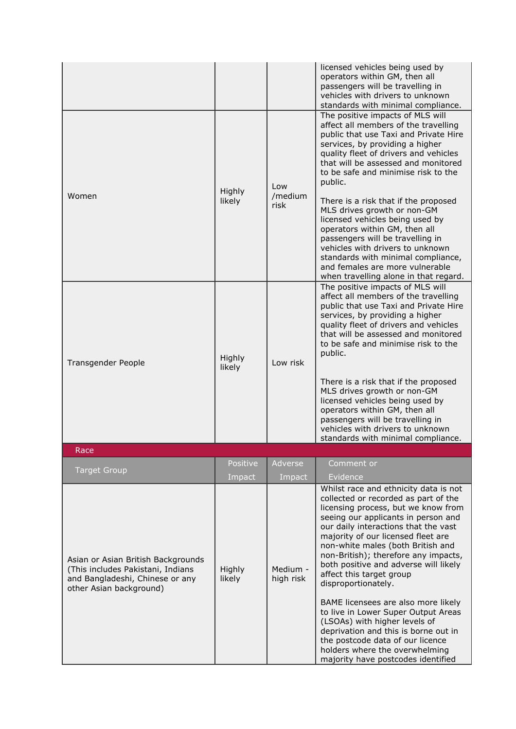|                                                                                                                                       |                  |                        | licensed vehicles being used by<br>operators within GM, then all<br>passengers will be travelling in<br>vehicles with drivers to unknown<br>standards with minimal compliance.                                                                                                                                                                                                                                     |
|---------------------------------------------------------------------------------------------------------------------------------------|------------------|------------------------|--------------------------------------------------------------------------------------------------------------------------------------------------------------------------------------------------------------------------------------------------------------------------------------------------------------------------------------------------------------------------------------------------------------------|
| Women                                                                                                                                 | Highly<br>likely | Low<br>/medium<br>risk | The positive impacts of MLS will<br>affect all members of the travelling<br>public that use Taxi and Private Hire<br>services, by providing a higher<br>quality fleet of drivers and vehicles<br>that will be assessed and monitored<br>to be safe and minimise risk to the<br>public.                                                                                                                             |
|                                                                                                                                       |                  |                        | There is a risk that if the proposed<br>MLS drives growth or non-GM<br>licensed vehicles being used by<br>operators within GM, then all<br>passengers will be travelling in<br>vehicles with drivers to unknown<br>standards with minimal compliance,<br>and females are more vulnerable<br>when travelling alone in that regard.                                                                                  |
| Transgender People                                                                                                                    | Highly<br>likely | Low risk               | The positive impacts of MLS will<br>affect all members of the travelling<br>public that use Taxi and Private Hire<br>services, by providing a higher<br>quality fleet of drivers and vehicles<br>that will be assessed and monitored<br>to be safe and minimise risk to the<br>public.                                                                                                                             |
|                                                                                                                                       |                  |                        | There is a risk that if the proposed<br>MLS drives growth or non-GM<br>licensed vehicles being used by<br>operators within GM, then all<br>passengers will be travelling in<br>vehicles with drivers to unknown<br>standards with minimal compliance.                                                                                                                                                              |
| Race                                                                                                                                  |                  |                        |                                                                                                                                                                                                                                                                                                                                                                                                                    |
| <b>Target Group</b>                                                                                                                   | Positive         | Adverse                | Comment or                                                                                                                                                                                                                                                                                                                                                                                                         |
|                                                                                                                                       | Impact           | Impact                 | Evidence                                                                                                                                                                                                                                                                                                                                                                                                           |
| Asian or Asian British Backgrounds<br>(This includes Pakistani, Indians<br>and Bangladeshi, Chinese or any<br>other Asian background) | Highly<br>likely | Medium -<br>high risk  | Whilst race and ethnicity data is not<br>collected or recorded as part of the<br>licensing process, but we know from<br>seeing our applicants in person and<br>our daily interactions that the vast<br>majority of our licensed fleet are<br>non-white males (both British and<br>non-British); therefore any impacts,<br>both positive and adverse will likely<br>affect this target group<br>disproportionately. |
|                                                                                                                                       |                  |                        | BAME licensees are also more likely<br>to live in Lower Super Output Areas<br>(LSOAs) with higher levels of<br>deprivation and this is borne out in<br>the postcode data of our licence<br>holders where the overwhelming<br>majority have postcodes identified                                                                                                                                                    |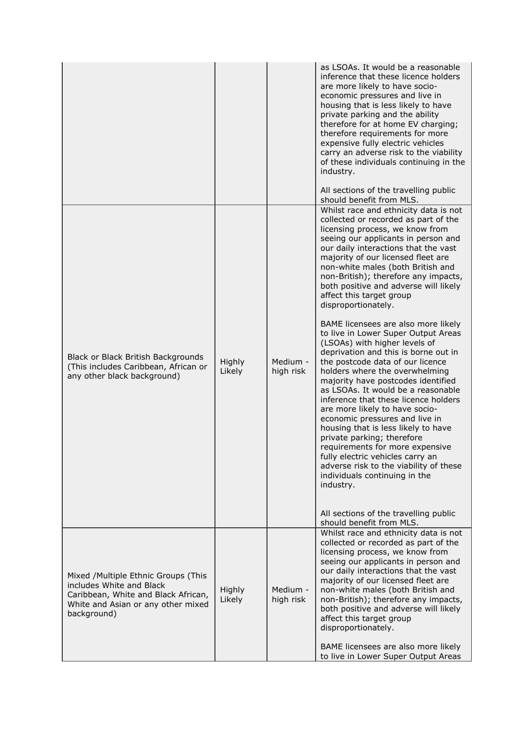|                                                                                                                                                             |                  |                       | as LSOAs. It would be a reasonable<br>inference that these licence holders<br>are more likely to have socio-<br>economic pressures and live in<br>housing that is less likely to have<br>private parking and the ability<br>therefore for at home EV charging;<br>therefore requirements for more<br>expensive fully electric vehicles<br>carry an adverse risk to the viability<br>of these individuals continuing in the<br>industry.<br>All sections of the travelling public<br>should benefit from MLS.                                                                                                                                          |
|-------------------------------------------------------------------------------------------------------------------------------------------------------------|------------------|-----------------------|-------------------------------------------------------------------------------------------------------------------------------------------------------------------------------------------------------------------------------------------------------------------------------------------------------------------------------------------------------------------------------------------------------------------------------------------------------------------------------------------------------------------------------------------------------------------------------------------------------------------------------------------------------|
|                                                                                                                                                             |                  |                       | Whilst race and ethnicity data is not<br>collected or recorded as part of the<br>licensing process, we know from<br>seeing our applicants in person and<br>our daily interactions that the vast<br>majority of our licensed fleet are<br>non-white males (both British and<br>non-British); therefore any impacts,<br>both positive and adverse will likely<br>affect this target group<br>disproportionately.                                                                                                                                                                                                                                        |
| Black or Black British Backgrounds<br>(This includes Caribbean, African or<br>any other black background)                                                   | Highly<br>Likely | Medium -<br>high risk | BAME licensees are also more likely<br>to live in Lower Super Output Areas<br>(LSOAs) with higher levels of<br>deprivation and this is borne out in<br>the postcode data of our licence<br>holders where the overwhelming<br>majority have postcodes identified<br>as LSOAs. It would be a reasonable<br>inference that these licence holders<br>are more likely to have socio-<br>economic pressures and live in<br>housing that is less likely to have<br>private parking; therefore<br>requirements for more expensive<br>fully electric vehicles carry an<br>adverse risk to the viability of these<br>individuals continuing in the<br>industry. |
|                                                                                                                                                             |                  |                       | All sections of the travelling public<br>should benefit from MLS.                                                                                                                                                                                                                                                                                                                                                                                                                                                                                                                                                                                     |
| Mixed /Multiple Ethnic Groups (This<br>includes White and Black<br>Caribbean, White and Black African,<br>White and Asian or any other mixed<br>background) | Highly<br>Likely | Medium -<br>high risk | Whilst race and ethnicity data is not<br>collected or recorded as part of the<br>licensing process, we know from<br>seeing our applicants in person and<br>our daily interactions that the vast<br>majority of our licensed fleet are<br>non-white males (both British and<br>non-British); therefore any impacts,<br>both positive and adverse will likely<br>affect this target group<br>disproportionately.<br>BAME licensees are also more likely<br>to live in Lower Super Output Areas                                                                                                                                                          |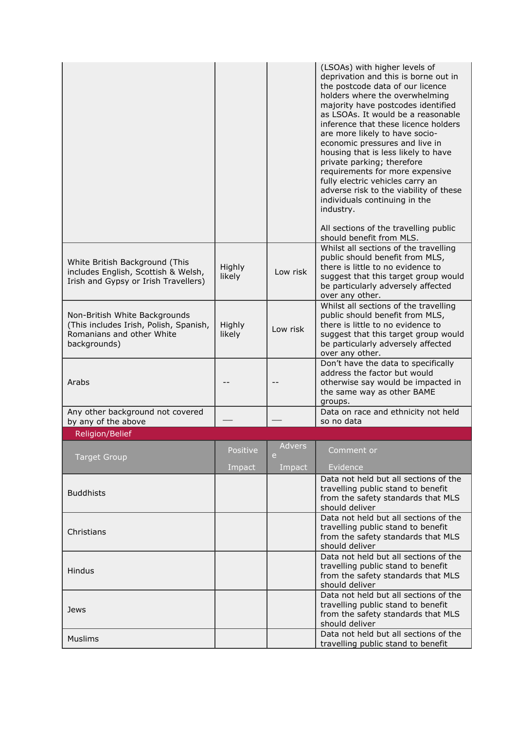|                                                                                                                      |                  |             | (LSOAs) with higher levels of<br>deprivation and this is borne out in<br>the postcode data of our licence<br>holders where the overwhelming<br>majority have postcodes identified<br>as LSOAs. It would be a reasonable<br>inference that these licence holders<br>are more likely to have socio-<br>economic pressures and live in<br>housing that is less likely to have<br>private parking; therefore<br>requirements for more expensive<br>fully electric vehicles carry an<br>adverse risk to the viability of these<br>individuals continuing in the<br>industry. |
|----------------------------------------------------------------------------------------------------------------------|------------------|-------------|-------------------------------------------------------------------------------------------------------------------------------------------------------------------------------------------------------------------------------------------------------------------------------------------------------------------------------------------------------------------------------------------------------------------------------------------------------------------------------------------------------------------------------------------------------------------------|
|                                                                                                                      |                  |             | All sections of the travelling public<br>should benefit from MLS.                                                                                                                                                                                                                                                                                                                                                                                                                                                                                                       |
| White British Background (This<br>includes English, Scottish & Welsh,<br>Irish and Gypsy or Irish Travellers)        | Highly<br>likely | Low risk    | Whilst all sections of the travelling<br>public should benefit from MLS,<br>there is little to no evidence to<br>suggest that this target group would<br>be particularly adversely affected<br>over any other.                                                                                                                                                                                                                                                                                                                                                          |
| Non-British White Backgrounds<br>(This includes Irish, Polish, Spanish,<br>Romanians and other White<br>backgrounds) | Highly<br>likely | Low risk    | Whilst all sections of the travelling<br>public should benefit from MLS,<br>there is little to no evidence to<br>suggest that this target group would<br>be particularly adversely affected<br>over any other.                                                                                                                                                                                                                                                                                                                                                          |
| Arabs                                                                                                                |                  |             | Don't have the data to specifically<br>address the factor but would<br>otherwise say would be impacted in<br>the same way as other BAME<br>groups.                                                                                                                                                                                                                                                                                                                                                                                                                      |
| Any other background not covered<br>by any of the above                                                              |                  |             | Data on race and ethnicity not held<br>so no data                                                                                                                                                                                                                                                                                                                                                                                                                                                                                                                       |
| <b>Religion/Belief</b>                                                                                               |                  |             |                                                                                                                                                                                                                                                                                                                                                                                                                                                                                                                                                                         |
| <b>Target Group</b>                                                                                                  | Positive         | Advers<br>e | <u>Comment or</u>                                                                                                                                                                                                                                                                                                                                                                                                                                                                                                                                                       |
|                                                                                                                      | Impact           | Impact      | Evidence                                                                                                                                                                                                                                                                                                                                                                                                                                                                                                                                                                |
| <b>Buddhists</b>                                                                                                     |                  |             | Data not held but all sections of the<br>travelling public stand to benefit<br>from the safety standards that MLS<br>should deliver                                                                                                                                                                                                                                                                                                                                                                                                                                     |
| Christians                                                                                                           |                  |             | Data not held but all sections of the<br>travelling public stand to benefit<br>from the safety standards that MLS<br>should deliver                                                                                                                                                                                                                                                                                                                                                                                                                                     |
| <b>Hindus</b>                                                                                                        |                  |             | Data not held but all sections of the<br>travelling public stand to benefit<br>from the safety standards that MLS<br>should deliver                                                                                                                                                                                                                                                                                                                                                                                                                                     |
| Jews                                                                                                                 |                  |             | Data not held but all sections of the<br>travelling public stand to benefit<br>from the safety standards that MLS<br>should deliver                                                                                                                                                                                                                                                                                                                                                                                                                                     |
| <b>Muslims</b>                                                                                                       |                  |             | Data not held but all sections of the<br>travelling public stand to benefit                                                                                                                                                                                                                                                                                                                                                                                                                                                                                             |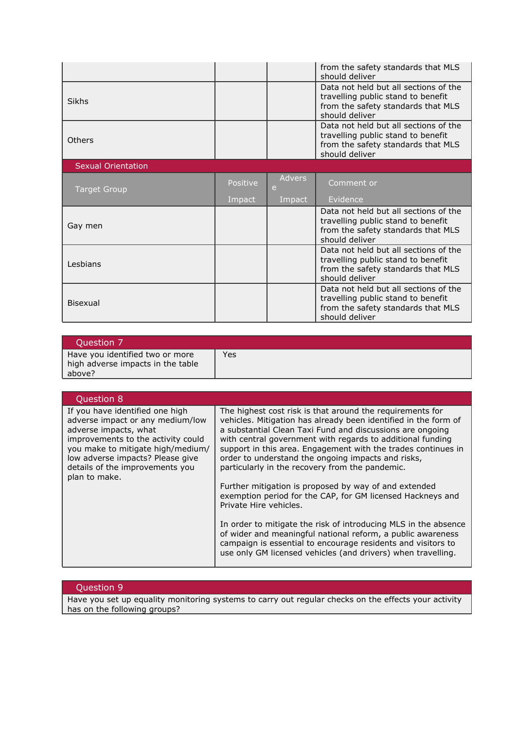|                           |          |                    | from the safety standards that MLS<br>should deliver                                                                                |
|---------------------------|----------|--------------------|-------------------------------------------------------------------------------------------------------------------------------------|
| Sikhs                     |          |                    | Data not held but all sections of the<br>travelling public stand to benefit<br>from the safety standards that MLS<br>should deliver |
| <b>Others</b>             |          |                    | Data not held but all sections of the<br>travelling public stand to benefit<br>from the safety standards that MLS<br>should deliver |
| <b>Sexual Orientation</b> |          |                    |                                                                                                                                     |
| <b>Target Group</b>       | Positive | <b>Advers</b><br>e | Comment or                                                                                                                          |
|                           |          |                    |                                                                                                                                     |
|                           | Impact   | Impact             | Evidence                                                                                                                            |
| Gay men                   |          |                    | Data not held but all sections of the<br>travelling public stand to benefit<br>from the safety standards that MLS<br>should deliver |
| <b>Lesbians</b>           |          |                    | Data not held but all sections of the<br>travelling public stand to benefit<br>from the safety standards that MLS<br>should deliver |

| Question 7                                                                     |     |
|--------------------------------------------------------------------------------|-----|
| Have you identified two or more<br>high adverse impacts in the table<br>above? | Yes |

| Question 8                                                                                                                                                                                                                                                      |                                                                                                                                                                                                                                                                                                                                                                                                                                                                                                                                                                                                                                                                                                                                                                                                                                                      |
|-----------------------------------------------------------------------------------------------------------------------------------------------------------------------------------------------------------------------------------------------------------------|------------------------------------------------------------------------------------------------------------------------------------------------------------------------------------------------------------------------------------------------------------------------------------------------------------------------------------------------------------------------------------------------------------------------------------------------------------------------------------------------------------------------------------------------------------------------------------------------------------------------------------------------------------------------------------------------------------------------------------------------------------------------------------------------------------------------------------------------------|
| If you have identified one high<br>adverse impact or any medium/low<br>adverse impacts, what<br>improvements to the activity could<br>you make to mitigate high/medium/<br>low adverse impacts? Please give<br>details of the improvements you<br>plan to make. | The highest cost risk is that around the requirements for<br>vehicles. Mitigation has already been identified in the form of<br>a substantial Clean Taxi Fund and discussions are ongoing<br>with central government with regards to additional funding<br>support in this area. Engagement with the trades continues in<br>order to understand the ongoing impacts and risks,<br>particularly in the recovery from the pandemic.<br>Further mitigation is proposed by way of and extended<br>exemption period for the CAP, for GM licensed Hackneys and<br>Private Hire vehicles.<br>In order to mitigate the risk of introducing MLS in the absence<br>of wider and meaningful national reform, a public awareness<br>campaign is essential to encourage residents and visitors to<br>use only GM licensed vehicles (and drivers) when travelling. |

## Question 9

Have you set up equality monitoring systems to carry out regular checks on the effects your activity has on the following groups?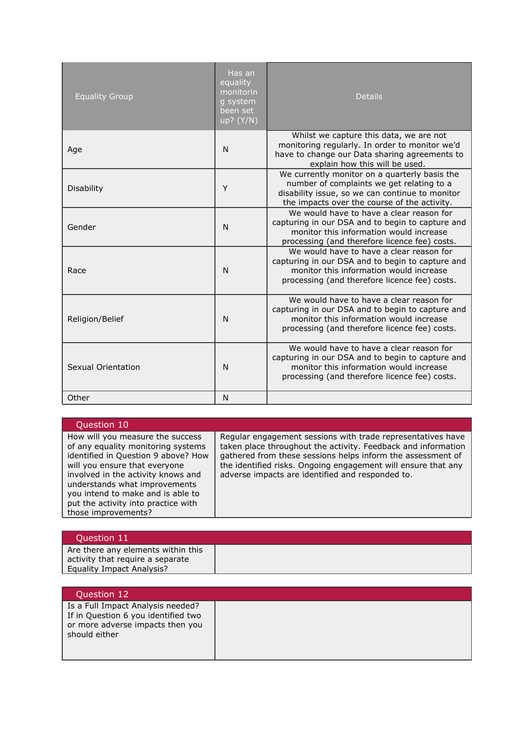| <b>Equality Group</b> | Has an<br>equality<br>monitorin<br>g system<br>been set<br>up? (Y/N) | <b>Details</b>                                                                                                                                                                                |
|-----------------------|----------------------------------------------------------------------|-----------------------------------------------------------------------------------------------------------------------------------------------------------------------------------------------|
| Age                   | N                                                                    | Whilst we capture this data, we are not<br>monitoring regularly. In order to monitor we'd<br>have to change our Data sharing agreements to<br>explain how this will be used.                  |
| <b>Disability</b>     | Y                                                                    | We currently monitor on a quarterly basis the<br>number of complaints we get relating to a<br>disability issue, so we can continue to monitor<br>the impacts over the course of the activity. |
| Gender                | N                                                                    | We would have to have a clear reason for<br>capturing in our DSA and to begin to capture and<br>monitor this information would increase<br>processing (and therefore licence fee) costs.      |
| Race                  | N                                                                    | We would have to have a clear reason for<br>capturing in our DSA and to begin to capture and<br>monitor this information would increase<br>processing (and therefore licence fee) costs.      |
| Religion/Belief       | N                                                                    | We would have to have a clear reason for<br>capturing in our DSA and to begin to capture and<br>monitor this information would increase<br>processing (and therefore licence fee) costs.      |
| Sexual Orientation    | N                                                                    | We would have to have a clear reason for<br>capturing in our DSA and to begin to capture and<br>monitor this information would increase<br>processing (and therefore licence fee) costs.      |
| Other                 | N                                                                    |                                                                                                                                                                                               |

| Question 10                                                                                                                                                                                                                                                                                                              |                                                                                                                                                                                                                                                                                                                  |
|--------------------------------------------------------------------------------------------------------------------------------------------------------------------------------------------------------------------------------------------------------------------------------------------------------------------------|------------------------------------------------------------------------------------------------------------------------------------------------------------------------------------------------------------------------------------------------------------------------------------------------------------------|
| How will you measure the success<br>of any equality monitoring systems<br>identified in Question 9 above? How<br>will you ensure that everyone<br>involved in the activity knows and<br>understands what improvements<br>you intend to make and is able to<br>put the activity into practice with<br>those improvements? | Regular engagement sessions with trade representatives have<br>taken place throughout the activity. Feedback and information<br>gathered from these sessions helps inform the assessment of<br>the identified risks. Ongoing engagement will ensure that any<br>adverse impacts are identified and responded to. |

| Question 11                                                                                         |  |
|-----------------------------------------------------------------------------------------------------|--|
| Are there any elements within this<br>activity that require a separate<br>Equality Impact Analysis? |  |

| Question 12                                                                                                                   |  |
|-------------------------------------------------------------------------------------------------------------------------------|--|
| Is a Full Impact Analysis needed?<br>If in Question 6 you identified two<br>or more adverse impacts then you<br>should either |  |